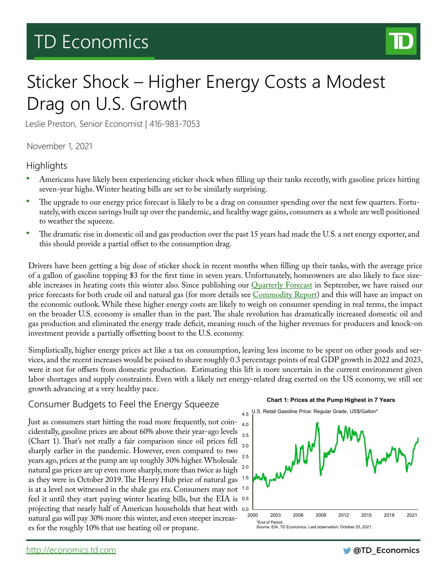# TD Economics



# Sticker Shock – Higher Energy Costs a Modest Drag on U.S. Growth

Leslie Preston, Senior Economist | 416-983-7053

November 1, 2021

### **Highlights**

- Americans have likely been experiencing sticker shock when filling up their tanks recently, with gasoline prices hitting seven-year highs. Winter heating bills are set to be similarly surprising.
- The upgrade to our energy price forecast is likely to be a drag on consumer spending over the next few quarters. Fortunately, with excess savings built up over the pandemic, and healthy wage gains, consumers as a whole are well positioned to weather the squeeze.
- The dramatic rise in domestic oil and gas production over the past 15 years had made the U.S. a net energy exporter, and this should provide a partial offset to the consumption drag.

Drivers have been getting a big dose of sticker shock in recent months when filling up their tanks, with the average price of a gallon of gasoline topping \$3 for the first time in seven years. Unfortunately, homeowners are also likely to face sizeable increases in heating costs this winter also. Since publishing our **Quarterly Forecast** in September, we have raised our price forecasts for both crude oil and natural gas (for more details see [Commodity Report](https://economics.td.com/us-commodity-price-report)) and this will have an impact on the economic outlook. While these higher energy costs are likely to weigh on consumer spending in real terms, the impact on the broader U.S. economy is smaller than in the past. The shale revolution has dramatically increased domestic oil and gas production and eliminated the energy trade deficit, meaning much of the higher revenues for producers and knock-on investment provide a partially offsetting boost to the U.S. economy.

Simplistically, higher energy prices act like a tax on consumption, leaving less income to be spent on other goods and services, and the recent increases would be poised to shave roughly 0.3 percentage points of real GDP growth in 2022 and 2023, were it not for offsets from domestic production. Estimating this lift is more uncertain in the current environment given labor shortages and supply constraints. Even with a likely net energy-related drag exerted on the US economy, we still see growth advancing at a very healthy pace.

### Consumer Budgets to Feel the Energy Squeeze

Just as consumers start hitting the road more frequently, not coincidentally, gasoline prices are about 60% above their year-ago levels 3.5 (Chart 1). That's not really a fair comparison since oil prices fell sharply earlier in the pandemic. However, even compared to two years ago, prices at the pump are up roughly 30% higher. Wholesale natural gas prices are up even more sharply, more than twice as high as they were in October 2019. The Henry Hub price of natural gas is at a level not witnessed in the shale gas era. Consumers may not 1.0 feel it until they start paying winter heating bills, but the EIA is 0.5 projecting that nearly half of American households that heat with 0.0 natural gas will pay 30% more this winter, and even steeper increases for the roughly 10% that use heating oil or propane.



**Chart 1: Prices at the Pump Highest in 7 Years**

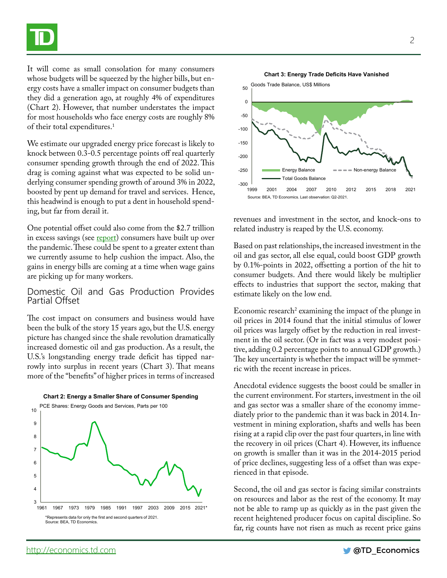It will come as small consolation for many consumers whose budgets will be squeezed by the higher bills, but energy costs have a smaller impact on consumer budgets than they did a generation ago, at roughly 4% of expenditures (Chart 2). However, that number understates the impact for most households who face energy costs are roughly 8% of their total expenditures.<sup>1</sup>

We estimate our upgraded energy price forecast is likely to knock between 0.3-0.5 percentage points off real quarterly consumer spending growth through the end of 2022. This drag is coming against what was expected to be solid underlying consumer spending growth of around 3% in 2022, boosted by pent up demand for travel and services. Hence, this headwind is enough to put a dent in household spending, but far from derail it.

One potential offset could also come from the \$2.7 trillion in excess savings (see [report](https://economics.td.com/us-excess-savings)) consumers have built up over the pandemic. These could be spent to a greater extent than we currently assume to help cushion the impact. Also, the gains in energy bills are coming at a time when wage gains are picking up for many workers.

#### Domestic Oil and Gas Production Provides Partial Offset

The cost impact on consumers and business would have been the bulk of the story 15 years ago, but the U.S. energy picture has changed since the shale revolution dramatically increased domestic oil and gas production. As a result, the U.S.'s longstanding energy trade deficit has tipped narrowly into surplus in recent years (Chart 3). That means more of the "benefits" of higher prices in terms of increased





revenues and investment in the sector, and knock-ons to related industry is reaped by the U.S. economy.

Based on past relationships, the increased investment in the oil and gas sector, all else equal, could boost GDP growth by 0.1%-points in 2022, offsetting a portion of the hit to consumer budgets. And there would likely be multiplier effects to industries that support the sector, making that estimate likely on the low end.

Economic research<sup>2</sup> examining the impact of the plunge in oil prices in 2014 found that the initial stimulus of lower oil prices was largely offset by the reduction in real investment in the oil sector. (Or in fact was a very modest positive, adding 0.2 percentage points to annual GDP growth.) The key uncertainty is whether the impact will be symmetric with the recent increase in prices.

Anecdotal evidence suggests the boost could be smaller in the current environment. For starters, investment in the oil and gas sector was a smaller share of the economy immediately prior to the pandemic than it was back in 2014. Investment in mining exploration, shafts and wells has been rising at a rapid clip over the past four quarters, in line with the recovery in oil prices (Chart 4). However, its influence on growth is smaller than it was in the 2014-2015 period of price declines, suggesting less of a offset than was experienced in that episode.

Second, the oil and gas sector is facing similar constraints on resources and labor as the rest of the economy. It may not be able to ramp up as quickly as in the past given the recent heightened producer focus on capital discipline. So far, rig counts have not risen as much as recent price gains

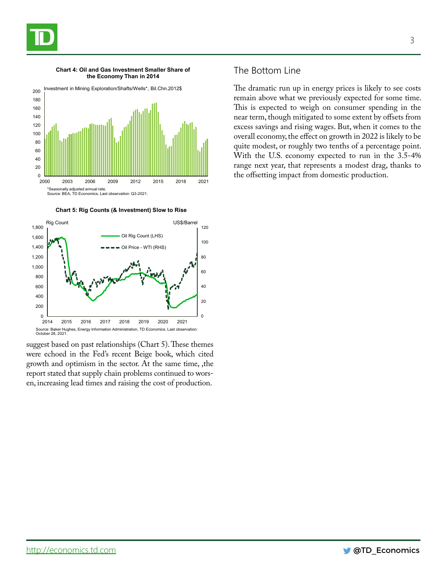



**Chart 4: Oil and Gas Investment Smaller Share of the Economy Than in 2014**

**Chart 5: Rig Counts (& Investment) Slow to Rise**



suggest based on past relationships (Chart 5). These themes were echoed in the Fed's recent Beige book, which cited growth and optimism in the sector. At the same time, ,the report stated that supply chain problems continued to worsen, increasing lead times and raising the cost of production.

#### The Bottom Line

The dramatic run up in energy prices is likely to see costs remain above what we previously expected for some time. This is expected to weigh on consumer spending in the near term, though mitigated to some extent by offsets from excess savings and rising wages. But, when it comes to the overall economy, the effect on growth in 2022 is likely to be quite modest, or roughly two tenths of a percentage point. With the U.S. economy expected to run in the 3.5-4% range next year, that represents a modest drag, thanks to

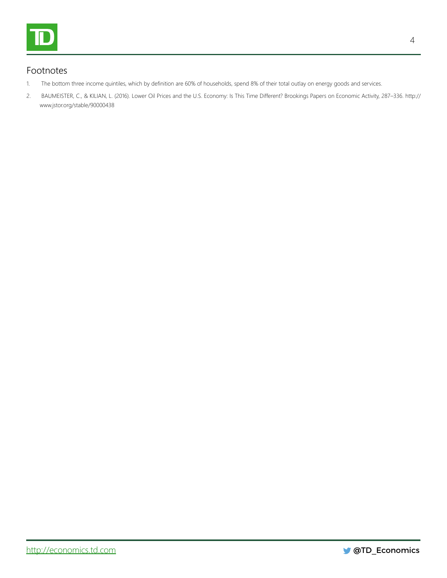

## Footnotes

- 1. The bottom three income quintiles, which by definition are 60% of households, spend 8% of their total outlay on energy goods and services.
- 2. BAUMEISTER, C., & KILIAN, L. (2016). Lower Oil Prices and the U.S. Economy: Is This Time Different? Brookings Papers on Economic Activity, 287–336. http:// www.jstor.org/stable/90000438